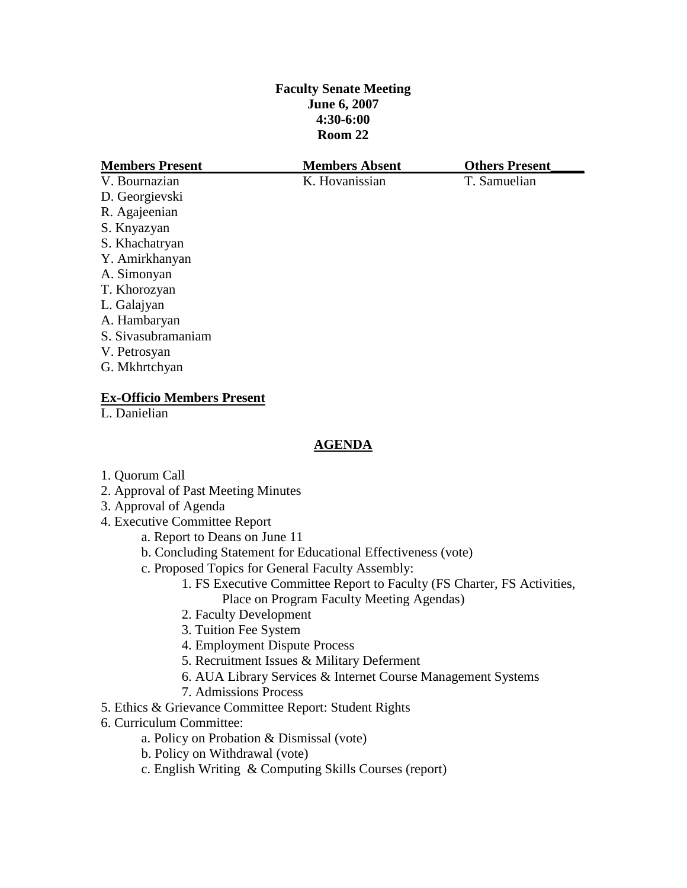# **Faculty Senate Meeting June 6, 2007 4:30-6:00 Room 22**

| <b>Members Present</b> | <b>Members Absent</b> | <b>Others Present</b> |
|------------------------|-----------------------|-----------------------|
| V. Bournazian          | K. Hovanissian        | T. Samuelian          |
| D. Georgievski         |                       |                       |
| R. Agajeenian          |                       |                       |
| S. Knyazyan            |                       |                       |
| S. Khachatryan         |                       |                       |
| Y. Amirkhanyan         |                       |                       |
| A. Simonyan            |                       |                       |
| T. Khorozyan           |                       |                       |
| L. Galajyan            |                       |                       |
| A. Hambaryan           |                       |                       |
| S. Sivasubramaniam     |                       |                       |
| V. Petrosyan           |                       |                       |
| G. Mkhrtchyan          |                       |                       |
|                        |                       |                       |

## **Ex-Officio Members Present**

L. Danielian

# **AGENDA**

- 1. Quorum Call
- 2. Approval of Past Meeting Minutes
- 3. Approval of Agenda
- 4. Executive Committee Report
	- a. Report to Deans on June 11
	- b. Concluding Statement for Educational Effectiveness (vote)
	- c. Proposed Topics for General Faculty Assembly:
		- 1. FS Executive Committee Report to Faculty (FS Charter, FS Activities, Place on Program Faculty Meeting Agendas)
		- 2. Faculty Development
		- 3. Tuition Fee System
		- 4. Employment Dispute Process
		- 5. Recruitment Issues & Military Deferment
		- 6. AUA Library Services & Internet Course Management Systems
		- 7. Admissions Process
- 5. Ethics & Grievance Committee Report: Student Rights
- 6. Curriculum Committee:
	- a. Policy on Probation & Dismissal (vote)
	- b. Policy on Withdrawal (vote)
	- c. English Writing & Computing Skills Courses (report)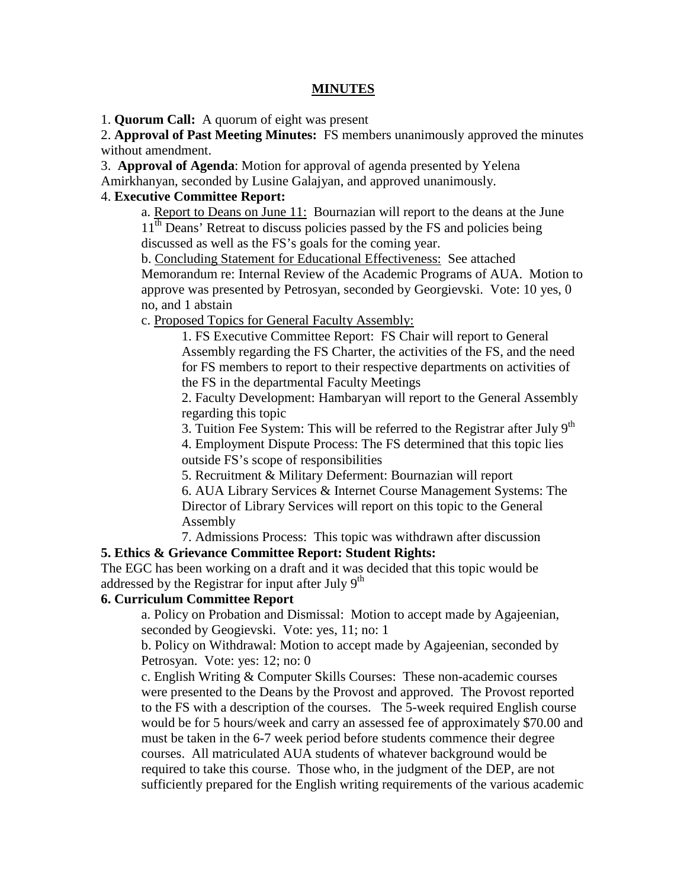#### **MINUTES**

1. **Quorum Call:** A quorum of eight was present

2. **Approval of Past Meeting Minutes:** FS members unanimously approved the minutes without amendment.

3. **Approval of Agenda**: Motion for approval of agenda presented by Yelena

Amirkhanyan, seconded by Lusine Galajyan, and approved unanimously.

## 4. **Executive Committee Report:**

a. Report to Deans on June 11: Bournazian will report to the deans at the June 11<sup>th</sup> Deans' Retreat to discuss policies passed by the FS and policies being discussed as well as the FS's goals for the coming year.

b. Concluding Statement for Educational Effectiveness: See attached Memorandum re: Internal Review of the Academic Programs of AUA. Motion to approve was presented by Petrosyan, seconded by Georgievski. Vote: 10 yes, 0 no, and 1 abstain

c. Proposed Topics for General Faculty Assembly:

1. FS Executive Committee Report: FS Chair will report to General Assembly regarding the FS Charter, the activities of the FS, and the need for FS members to report to their respective departments on activities of the FS in the departmental Faculty Meetings

2. Faculty Development: Hambaryan will report to the General Assembly regarding this topic

3. Tuition Fee System: This will be referred to the Registrar after July  $9<sup>th</sup>$ 

4. Employment Dispute Process: The FS determined that this topic lies outside FS's scope of responsibilities

5. Recruitment & Military Deferment: Bournazian will report

6. AUA Library Services & Internet Course Management Systems: The Director of Library Services will report on this topic to the General Assembly

7. Admissions Process: This topic was withdrawn after discussion

# **5. Ethics & Grievance Committee Report: Student Rights:**

The EGC has been working on a draft and it was decided that this topic would be addressed by the Registrar for input after July  $9<sup>th</sup>$ 

## **6. Curriculum Committee Report**

a. Policy on Probation and Dismissal: Motion to accept made by Agajeenian, seconded by Geogievski. Vote: yes, 11; no: 1

b. Policy on Withdrawal: Motion to accept made by Agajeenian, seconded by Petrosyan. Vote: yes: 12; no: 0

c. English Writing & Computer Skills Courses: These non-academic courses were presented to the Deans by the Provost and approved. The Provost reported to the FS with a description of the courses. The 5-week required English course would be for 5 hours/week and carry an assessed fee of approximately \$70.00 and must be taken in the 6-7 week period before students commence their degree courses. All matriculated AUA students of whatever background would be required to take this course. Those who, in the judgment of the DEP, are not sufficiently prepared for the English writing requirements of the various academic